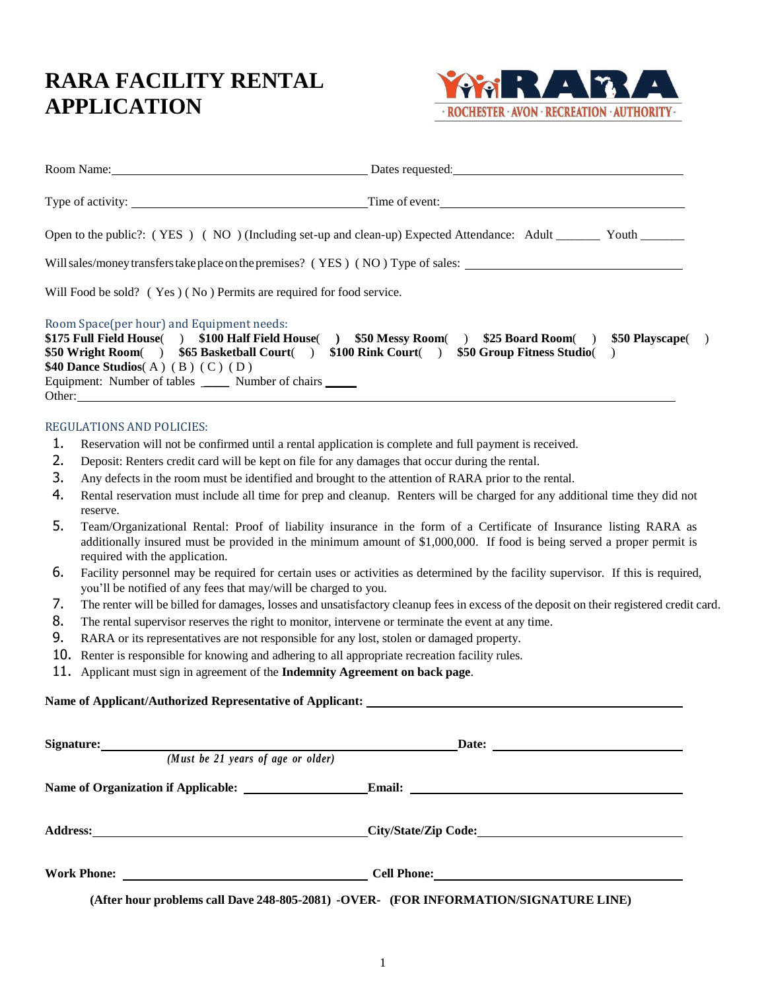## **RARA FACILITY RENTAL APPLICATION**



| Room Name: 2008                                                                                                                                                                                                                                  | Dates requested: Dates and Dates requested:                                                                       |
|--------------------------------------------------------------------------------------------------------------------------------------------------------------------------------------------------------------------------------------------------|-------------------------------------------------------------------------------------------------------------------|
|                                                                                                                                                                                                                                                  | Time of event:                                                                                                    |
|                                                                                                                                                                                                                                                  | Open to the public?: (YES) (NO) (Including set-up and clean-up) Expected Attendance: Adult ________ Youth _______ |
|                                                                                                                                                                                                                                                  | Will sales/money transfers take place on the premises? (YES) (NO) Type of sales:                                  |
| Will Food be sold? (Yes) (No) Permits are required for food service.                                                                                                                                                                             |                                                                                                                   |
| Room Space(per hour) and Equipment needs:<br>\$175 Full Field House( ) \$100 Half Field House(<br>\$50 Wright Room() \$65 Basketball Court()<br>\$40 Dance Studios(A) (B) (C) (D)<br>Equipment: Number of tables _______ Number of chairs ______ | $$50$ Messy Room() $$25$ Board Room()<br>\$50 Playscape()<br>\$100 Rink Court() \$50 Group Fitness Studio()       |
| Other: 2000 Contract 2000 Contract 2000 Contract 2000 Contract 2000 Contract 2000 Contract 2000 Contract 2000 Contract 2000 Contract 2000 Contract 2000 Contract 2000 Contract 2000 Contract 2000 Contract 2000 Contract 2000                    |                                                                                                                   |

## REGULATIONS AND POLICIES:

- 1. Reservation will not be confirmed until a rental application is complete and full payment is received.
- 2. Deposit: Renters credit card will be kept on file for any damages that occur during the rental.
- 3. Any defects in the room must be identified and brought to the attention of RARA prior to the rental.
- 4. Rental reservation must include all time for prep and cleanup. Renters will be charged for any additional time they did not reserve.
- 5. Team/Organizational Rental: Proof of liability insurance in the form of a Certificate of Insurance listing RARA as additionally insured must be provided in the minimum amount of \$1,000,000. If food is being served a proper permit is required with the application.
- 6. Facility personnel may be required for certain uses or activities as determined by the facility supervisor. If this is required, you'll be notified of any fees that may/will be charged to you.
- 7. The renter will be billed for damages, losses and unsatisfactory cleanup fees in excess of the deposit on their registered credit card.
- 8. The rental supervisor reserves the right to monitor, intervene or terminate the event at any time.
- 9. RARA or its representatives are not responsible for any lost, stolen or damaged property.
- 10. Renter is responsible for knowing and adhering to all appropriate recreation facility rules.
- 11. Applicant must sign in agreement of the **Indemnity Agreement on back page**.

## **Name of Applicant/Authorized Representative of Applicant:**

| Signature: <u>Contract of the Signature:</u><br>(Must be $21$ years of age or older) | Date: $\qquad \qquad$                                                                |
|--------------------------------------------------------------------------------------|--------------------------------------------------------------------------------------|
|                                                                                      |                                                                                      |
|                                                                                      |                                                                                      |
| Work Phone:                                                                          |                                                                                      |
|                                                                                      | (After hour problems call Dave 248-805-2081) -OVER- (FOR INFORMATION/SIGNATURE LINE) |